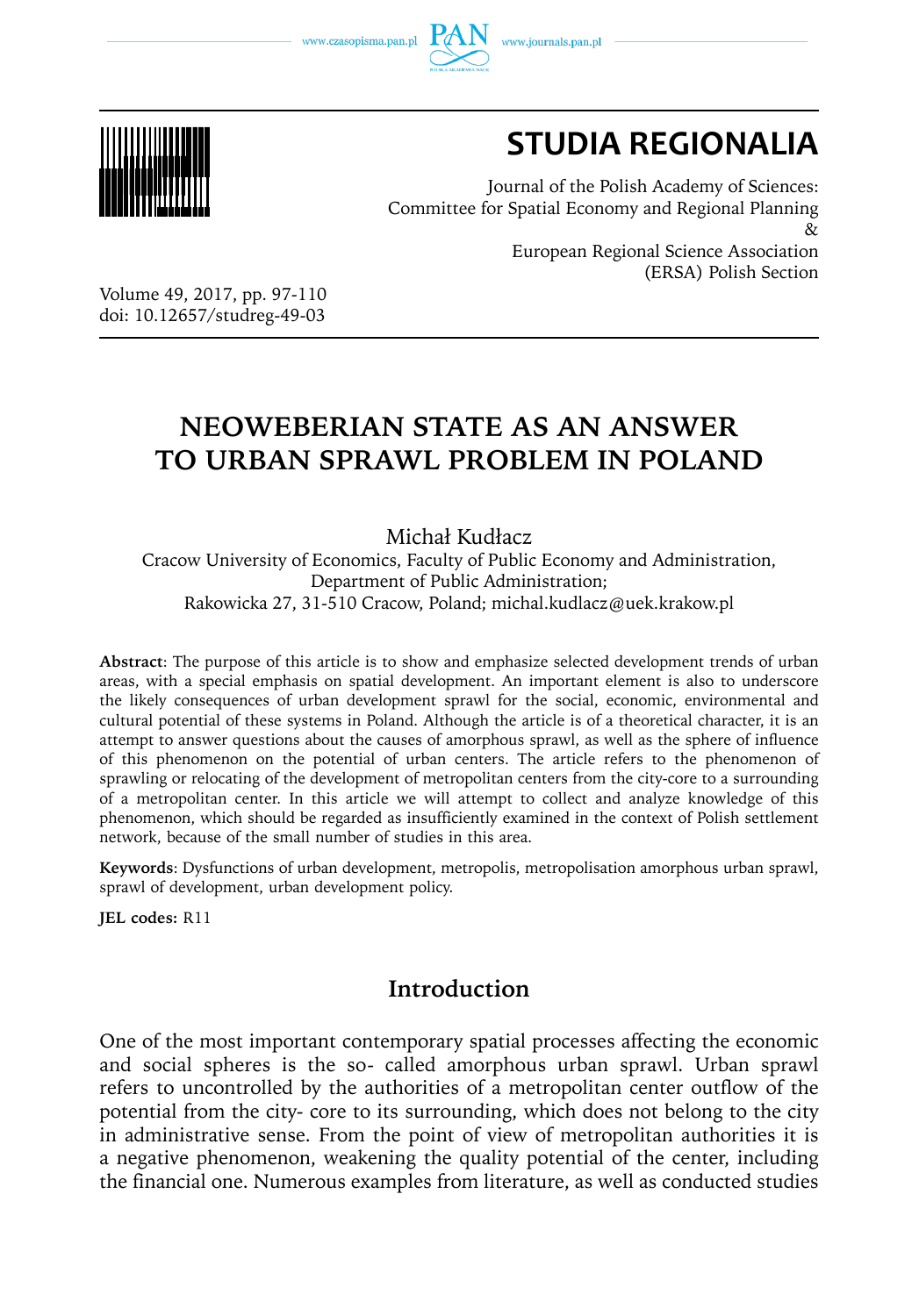www.czasopisma.pan.pl



# **STUDIA REGIONALIA**

Journal of the Polish Academy of Sciences: Committee for Spatial Economy and Regional Planning  $\chi$ European Regional Science Association (ERSA) Polish Section

Volume 49, 2017, pp. 97-110 doi: 10.12657/studreg-49-03

# **NEOWEBERIAN STATE AS AN ANSWER TO URBAN SPRAWL PROBLEM IN POLAND**

Michał Kudłacz

Cracow University of Economics, Faculty of Public Economy and Administration, Department of Public Administration; Rakowicka 27, 31-510 Cracow, Poland; michal.kudlacz@uek.krakow.pl

**Abstract**: The purpose of this article is to show and emphasize selected development trends of urban areas, with a special emphasis on spatial development. An important element is also to underscore the likely consequences of urban development sprawl for the social, economic, environmental and cultural potential of these systems in Poland. Although the article is of a theoretical character, it is an attempt to answer questions about the causes of amorphous sprawl, as well as the sphere of influence of this phenomenon on the potential of urban centers. The article refers to the phenomenon of sprawling or relocating of the development of metropolitan centers from the city-core to a surrounding of a metropolitan center. In this article we will attempt to collect and analyze knowledge of this phenomenon, which should be regarded as insufficiently examined in the context of Polish settlement network, because of the small number of studies in this area.

**Keywords**: Dysfunctions of urban development, metropolis, metropolisation amorphous urban sprawl, sprawl of development, urban development policy.

**JEL codes:** R11

# **Introduction**

One of the most important contemporary spatial processes affecting the economic and social spheres is the so- called amorphous urban sprawl. Urban sprawl refers to uncontrolled by the authorities of a metropolitan center outflow of the potential from the city- core to its surrounding, which does not belong to the city in administrative sense. From the point of view of metropolitan authorities it is a negative phenomenon, weakening the quality potential of the center, including the financial one. Numerous examples from literature, as well as conducted studies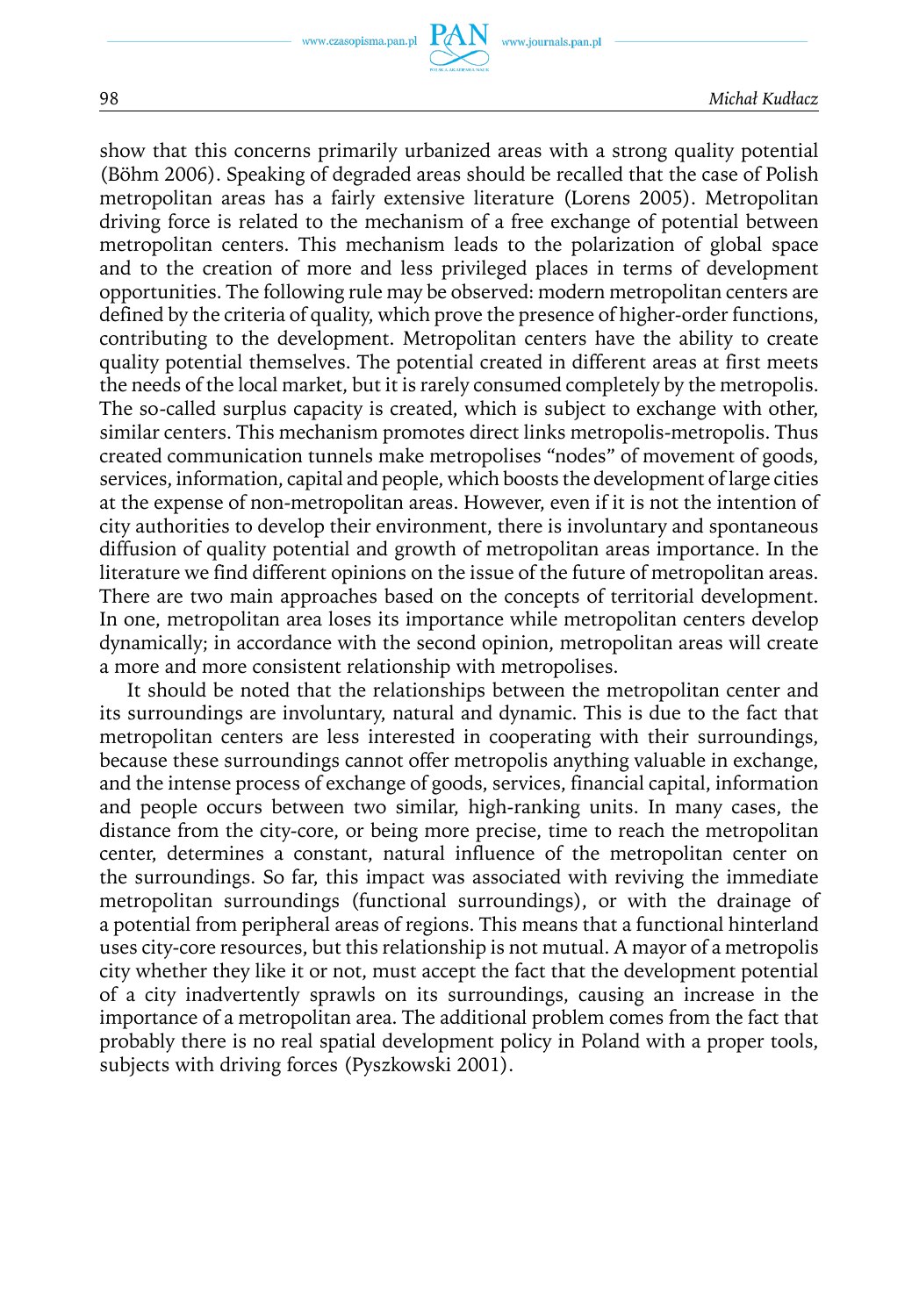show that this concerns primarily urbanized areas with a strong quality potential (Böhm 2006). Speaking of degraded areas should be recalled that the case of Polish metropolitan areas has a fairly extensive literature (Lorens 2005). Metropolitan driving force is related to the mechanism of a free exchange of potential between metropolitan centers. This mechanism leads to the polarization of global space and to the creation of more and less privileged places in terms of development opportunities. The following rule may be observed: modern metropolitan centers are defined by the criteria of quality, which prove the presence of higher-order functions, contributing to the development. Metropolitan centers have the ability to create quality potential themselves. The potential created in different areas at first meets the needs of the local market, but it is rarely consumed completely by the metropolis. The so-called surplus capacity is created, which is subject to exchange with other, similar centers. This mechanism promotes direct links metropolis-metropolis. Thus created communication tunnels make metropolises "nodes" of movement of goods, services, information, capital and people, which boosts the development of large cities at the expense of non-metropolitan areas. However, even if it is not the intention of city authorities to develop their environment, there is involuntary and spontaneous diffusion of quality potential and growth of metropolitan areas importance. In the literature we find different opinions on the issue of the future of metropolitan areas. There are two main approaches based on the concepts of territorial development. In one, metropolitan area loses its importance while metropolitan centers develop dynamically; in accordance with the second opinion, metropolitan areas will create a more and more consistent relationship with metropolises.

It should be noted that the relationships between the metropolitan center and its surroundings are involuntary, natural and dynamic. This is due to the fact that metropolitan centers are less interested in cooperating with their surroundings, because these surroundings cannot offer metropolis anything valuable in exchange, and the intense process of exchange of goods, services, financial capital, information and people occurs between two similar, high-ranking units. In many cases, the distance from the city-core, or being more precise, time to reach the metropolitan center, determines a constant, natural influence of the metropolitan center on the surroundings. So far, this impact was associated with reviving the immediate metropolitan surroundings (functional surroundings), or with the drainage of a potential from peripheral areas of regions. This means that a functional hinterland uses city-core resources, but this relationship is not mutual. A mayor of a metropolis city whether they like it or not, must accept the fact that the development potential of a city inadvertently sprawls on its surroundings, causing an increase in the importance of a metropolitan area. The additional problem comes from the fact that probably there is no real spatial development policy in Poland with a proper tools, subjects with driving forces (Pyszkowski 2001).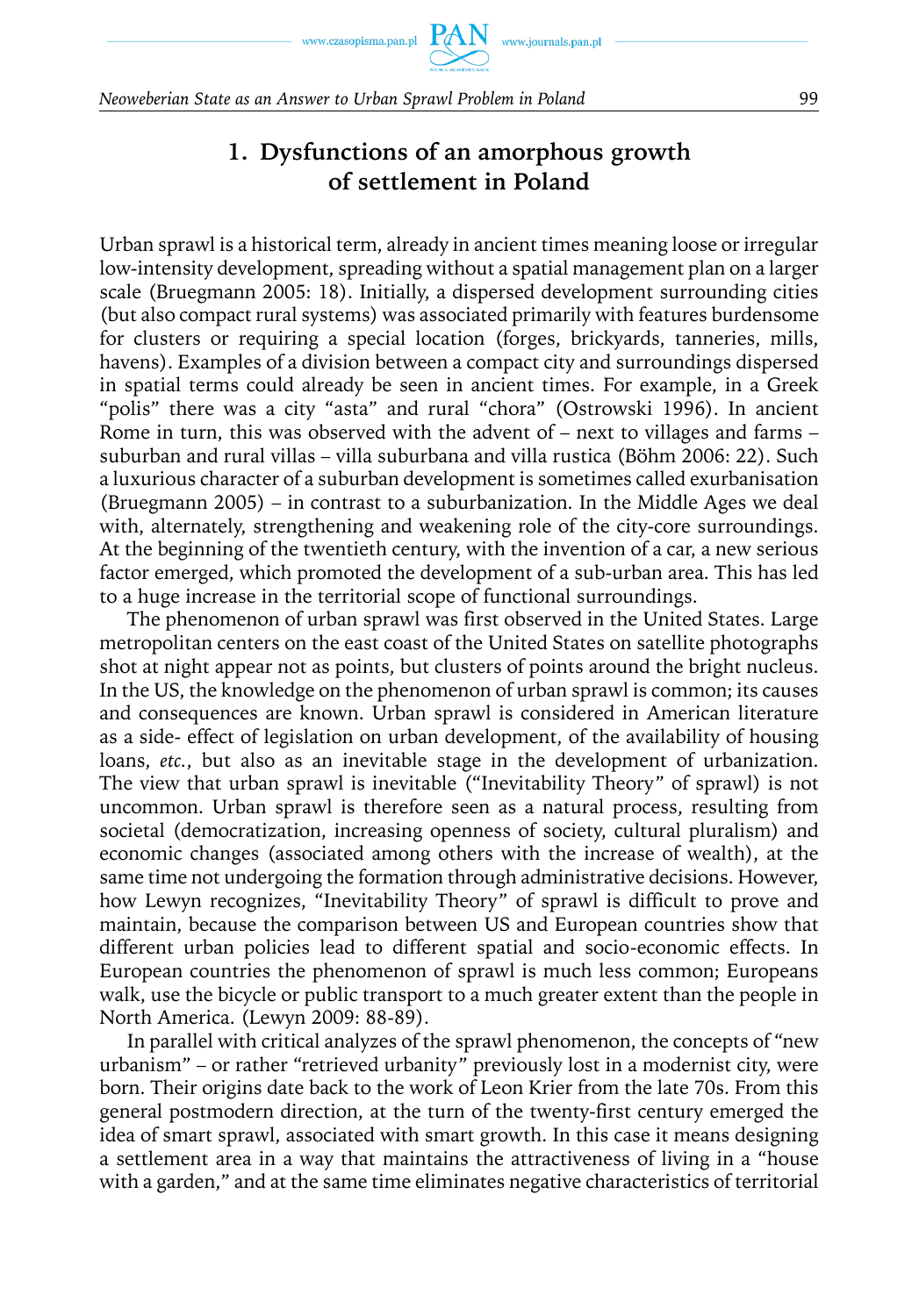# **1. Dysfunctions of an amorphous growth of settlement in Poland**

Urban sprawl is a historical term, already in ancient times meaning loose or irregular low-intensity development, spreading without a spatial management plan on a larger scale (Bruegmann 2005: 18). Initially, a dispersed development surrounding cities (but also compact rural systems) was associated primarily with features burdensome for clusters or requiring a special location (forges, brickyards, tanneries, mills, havens). Examples of a division between a compact city and surroundings dispersed in spatial terms could already be seen in ancient times. For example, in a Greek "polis" there was a city "asta" and rural "chora" (Ostrowski 1996). In ancient Rome in turn, this was observed with the advent of – next to villages and farms – suburban and rural villas – villa suburbana and villa rustica (Böhm 2006: 22). Such a luxurious character of a suburban development is sometimes called exurbanisation (Bruegmann 2005) – in contrast to a suburbanization. In the Middle Ages we deal with, alternately, strengthening and weakening role of the city-core surroundings. At the beginning of the twentieth century, with the invention of a car, a new serious factor emerged, which promoted the development of a sub-urban area. This has led to a huge increase in the territorial scope of functional surroundings.

The phenomenon of urban sprawl was first observed in the United States. Large metropolitan centers on the east coast of the United States on satellite photographs shot at night appear not as points, but clusters of points around the bright nucleus. In the US, the knowledge on the phenomenon of urban sprawl is common; its causes and consequences are known. Urban sprawl is considered in American literature as a side- effect of legislation on urban development, of the availability of housing loans, *etc.*, but also as an inevitable stage in the development of urbanization. The view that urban sprawl is inevitable ("Inevitability Theory" of sprawl) is not uncommon. Urban sprawl is therefore seen as a natural process, resulting from societal (democratization, increasing openness of society, cultural pluralism) and economic changes (associated among others with the increase of wealth), at the same time not undergoing the formation through administrative decisions. However, how Lewyn recognizes, "Inevitability Theory" of sprawl is difficult to prove and maintain, because the comparison between US and European countries show that different urban policies lead to different spatial and socio-economic effects. In European countries the phenomenon of sprawl is much less common; Europeans walk, use the bicycle or public transport to a much greater extent than the people in North America. (Lewyn 2009: 88-89).

In parallel with critical analyzes of the sprawl phenomenon, the concepts of "new urbanism" – or rather "retrieved urbanity" previously lost in a modernist city, were born. Their origins date back to the work of Leon Krier from the late 70s. From this general postmodern direction, at the turn of the twenty-first century emerged the idea of smart sprawl, associated with smart growth. In this case it means designing a settlement area in a way that maintains the attractiveness of living in a "house with a garden," and at the same time eliminates negative characteristics of territorial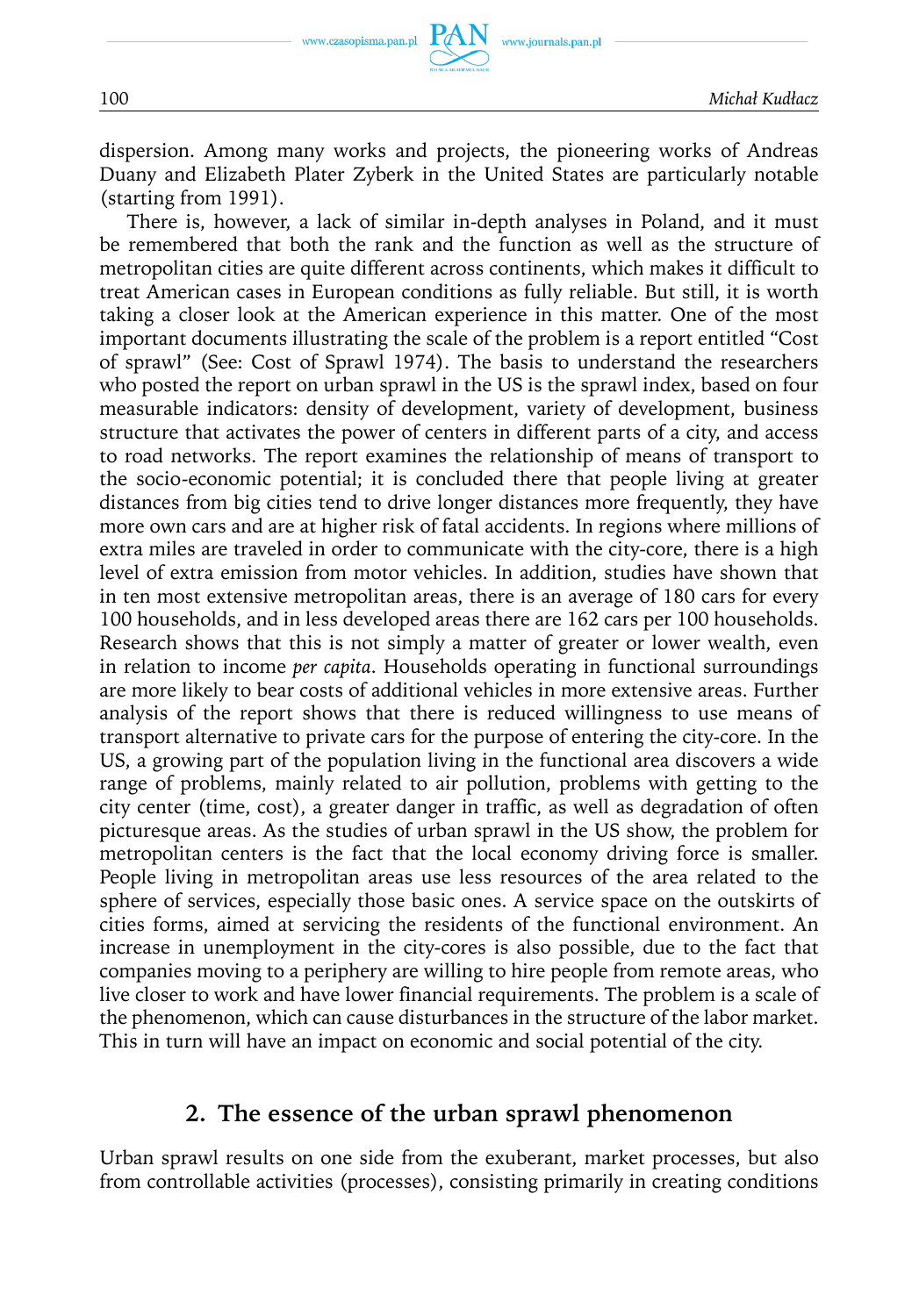

dispersion. Among many works and projects, the pioneering works of Andreas Duany and Elizabeth Plater Zyberk in the United States are particularly notable (starting from 1991).

There is, however, a lack of similar in-depth analyses in Poland, and it must be remembered that both the rank and the function as well as the structure of metropolitan cities are quite different across continents, which makes it difficult to treat American cases in European conditions as fully reliable. But still, it is worth taking a closer look at the American experience in this matter. One of the most important documents illustrating the scale of the problem is a report entitled "Cost of sprawl" (See: Cost of Sprawl 1974). The basis to understand the researchers who posted the report on urban sprawl in the US is the sprawl index, based on four measurable indicators: density of development, variety of development, business structure that activates the power of centers in different parts of a city, and access to road networks. The report examines the relationship of means of transport to the socio-economic potential; it is concluded there that people living at greater distances from big cities tend to drive longer distances more frequently, they have more own cars and are at higher risk of fatal accidents. In regions where millions of extra miles are traveled in order to communicate with the city-core, there is a high level of extra emission from motor vehicles. In addition, studies have shown that in ten most extensive metropolitan areas, there is an average of 180 cars for every 100 households, and in less developed areas there are 162 cars per 100 households. Research shows that this is not simply a matter of greater or lower wealth, even in relation to income *per capita*. Households operating in functional surroundings are more likely to bear costs of additional vehicles in more extensive areas. Further analysis of the report shows that there is reduced willingness to use means of transport alternative to private cars for the purpose of entering the city-core. In the US, a growing part of the population living in the functional area discovers a wide range of problems, mainly related to air pollution, problems with getting to the city center (time, cost), a greater danger in traffic, as well as degradation of often picturesque areas. As the studies of urban sprawl in the US show, the problem for metropolitan centers is the fact that the local economy driving force is smaller. People living in metropolitan areas use less resources of the area related to the sphere of services, especially those basic ones. A service space on the outskirts of cities forms, aimed at servicing the residents of the functional environment. An increase in unemployment in the city-cores is also possible, due to the fact that companies moving to a periphery are willing to hire people from remote areas, who live closer to work and have lower financial requirements. The problem is a scale of the phenomenon, which can cause disturbances in the structure of the labor market. This in turn will have an impact on economic and social potential of the city.

# **2. The essence of the urban sprawl phenomenon**

Urban sprawl results on one side from the exuberant, market processes, but also from controllable activities (processes), consisting primarily in creating conditions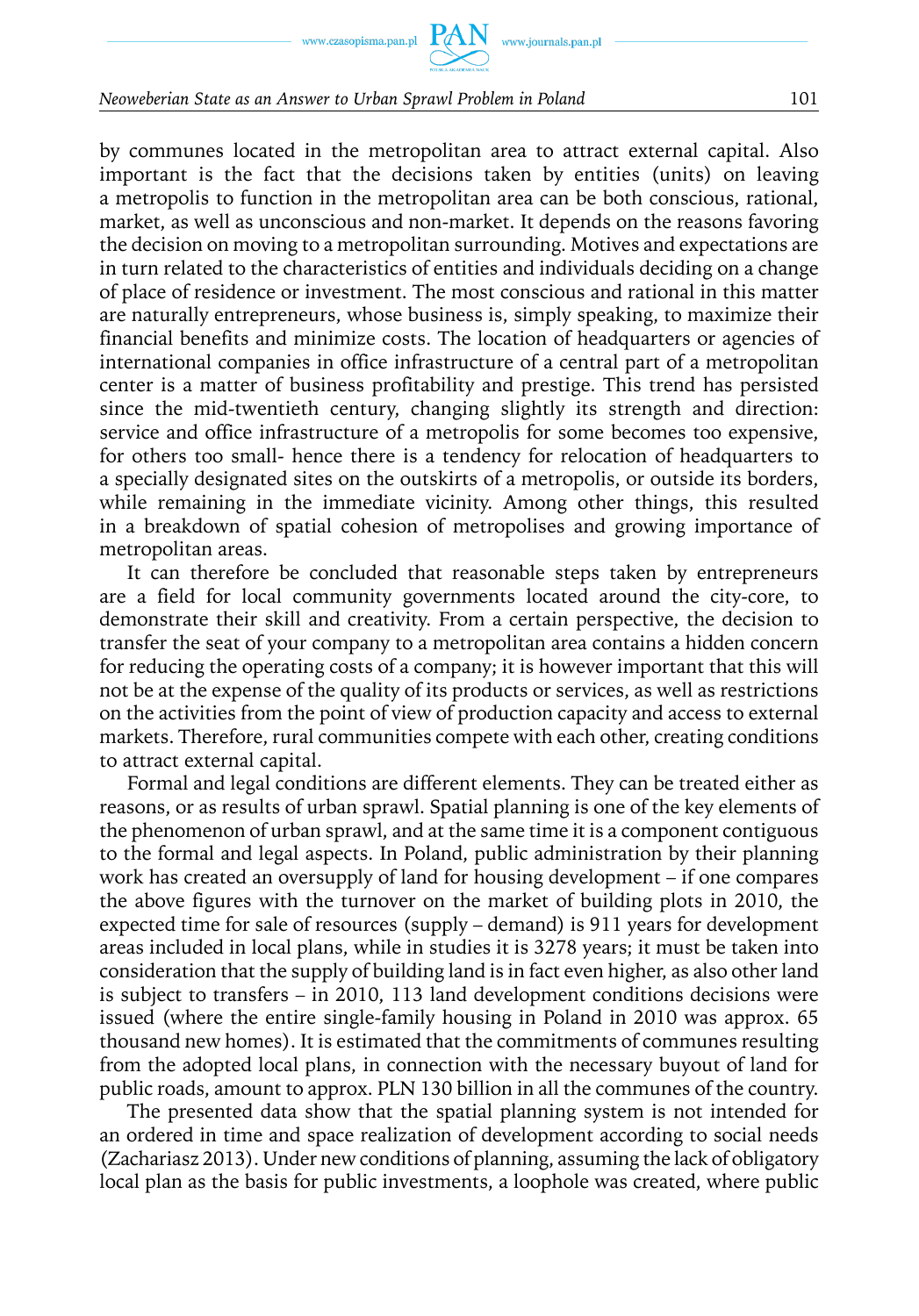#### *Neoweberian State as an Answer to Urban Sprawl Problem in Poland* 101

by communes located in the metropolitan area to attract external capital. Also important is the fact that the decisions taken by entities (units) on leaving a metropolis to function in the metropolitan area can be both conscious, rational, market, as well as unconscious and non-market. It depends on the reasons favoring the decision on moving to a metropolitan surrounding. Motives and expectations are in turn related to the characteristics of entities and individuals deciding on a change of place of residence or investment. The most conscious and rational in this matter are naturally entrepreneurs, whose business is, simply speaking, to maximize their financial benefits and minimize costs. The location of headquarters or agencies of international companies in office infrastructure of a central part of a metropolitan center is a matter of business profitability and prestige. This trend has persisted since the mid-twentieth century, changing slightly its strength and direction: service and office infrastructure of a metropolis for some becomes too expensive, for others too small- hence there is a tendency for relocation of headquarters to a specially designated sites on the outskirts of a metropolis, or outside its borders, while remaining in the immediate vicinity. Among other things, this resulted in a breakdown of spatial cohesion of metropolises and growing importance of metropolitan areas.

It can therefore be concluded that reasonable steps taken by entrepreneurs are a field for local community governments located around the city-core, to demonstrate their skill and creativity. From a certain perspective, the decision to transfer the seat of your company to a metropolitan area contains a hidden concern for reducing the operating costs of a company; it is however important that this will not be at the expense of the quality of its products or services, as well as restrictions on the activities from the point of view of production capacity and access to external markets. Therefore, rural communities compete with each other, creating conditions to attract external capital.

Formal and legal conditions are different elements. They can be treated either as reasons, or as results of urban sprawl. Spatial planning is one of the key elements of the phenomenon of urban sprawl, and at the same time it is a component contiguous to the formal and legal aspects. In Poland, public administration by their planning work has created an oversupply of land for housing development – if one compares the above figures with the turnover on the market of building plots in 2010, the expected time for sale of resources (supply – demand) is 911 years for development areas included in local plans, while in studies it is 3278 years; it must be taken into consideration that the supply of building land is in fact even higher, as also other land is subject to transfers – in 2010, 113 land development conditions decisions were issued (where the entire single-family housing in Poland in 2010 was approx. 65 thousand new homes). It is estimated that the commitments of communes resulting from the adopted local plans, in connection with the necessary buyout of land for public roads, amount to approx. PLN 130 billion in all the communes of the country.

The presented data show that the spatial planning system is not intended for an ordered in time and space realization of development according to social needs (Zachariasz 2013). Under new conditions of planning, assuming the lack of obligatory local plan as the basis for public investments, a loophole was created, where public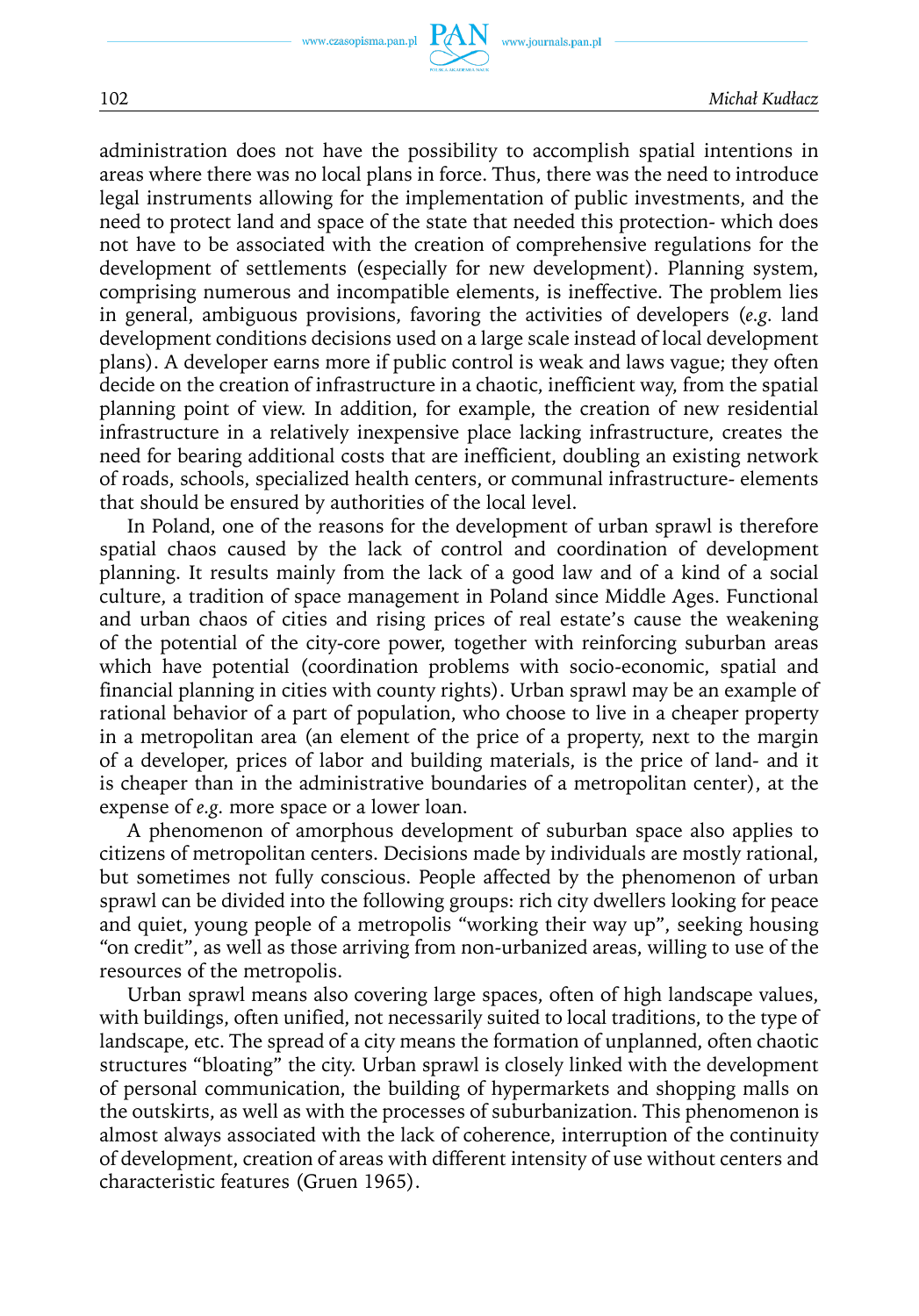administration does not have the possibility to accomplish spatial intentions in areas where there was no local plans in force. Thus, there was the need to introduce legal instruments allowing for the implementation of public investments, and the need to protect land and space of the state that needed this protection- which does not have to be associated with the creation of comprehensive regulations for the development of settlements (especially for new development). Planning system, comprising numerous and incompatible elements, is ineffective. The problem lies in general, ambiguous provisions, favoring the activities of developers (*e.g.* land development conditions decisions used on a large scale instead of local development plans). A developer earns more if public control is weak and laws vague; they often decide on the creation of infrastructure in a chaotic, inefficient way, from the spatial planning point of view. In addition, for example, the creation of new residential infrastructure in a relatively inexpensive place lacking infrastructure, creates the need for bearing additional costs that are inefficient, doubling an existing network of roads, schools, specialized health centers, or communal infrastructure- elements that should be ensured by authorities of the local level.

In Poland, one of the reasons for the development of urban sprawl is therefore spatial chaos caused by the lack of control and coordination of development planning. It results mainly from the lack of a good law and of a kind of a social culture, a tradition of space management in Poland since Middle Ages. Functional and urban chaos of cities and rising prices of real estate's cause the weakening of the potential of the city-core power, together with reinforcing suburban areas which have potential (coordination problems with socio-economic, spatial and financial planning in cities with county rights). Urban sprawl may be an example of rational behavior of a part of population, who choose to live in a cheaper property in a metropolitan area (an element of the price of a property, next to the margin of a developer, prices of labor and building materials, is the price of land- and it is cheaper than in the administrative boundaries of a metropolitan center), at the expense of *e.g.* more space or a lower loan.

A phenomenon of amorphous development of suburban space also applies to citizens of metropolitan centers. Decisions made by individuals are mostly rational, but sometimes not fully conscious. People affected by the phenomenon of urban sprawl can be divided into the following groups: rich city dwellers looking for peace and quiet, young people of a metropolis "working their way up", seeking housing "on credit", as well as those arriving from non-urbanized areas, willing to use of the resources of the metropolis.

Urban sprawl means also covering large spaces, often of high landscape values, with buildings, often unified, not necessarily suited to local traditions, to the type of landscape, etc. The spread of a city means the formation of unplanned, often chaotic structures "bloating" the city. Urban sprawl is closely linked with the development of personal communication, the building of hypermarkets and shopping malls on the outskirts, as well as with the processes of suburbanization. This phenomenon is almost always associated with the lack of coherence, interruption of the continuity of development, creation of areas with different intensity of use without centers and characteristic features (Gruen 1965).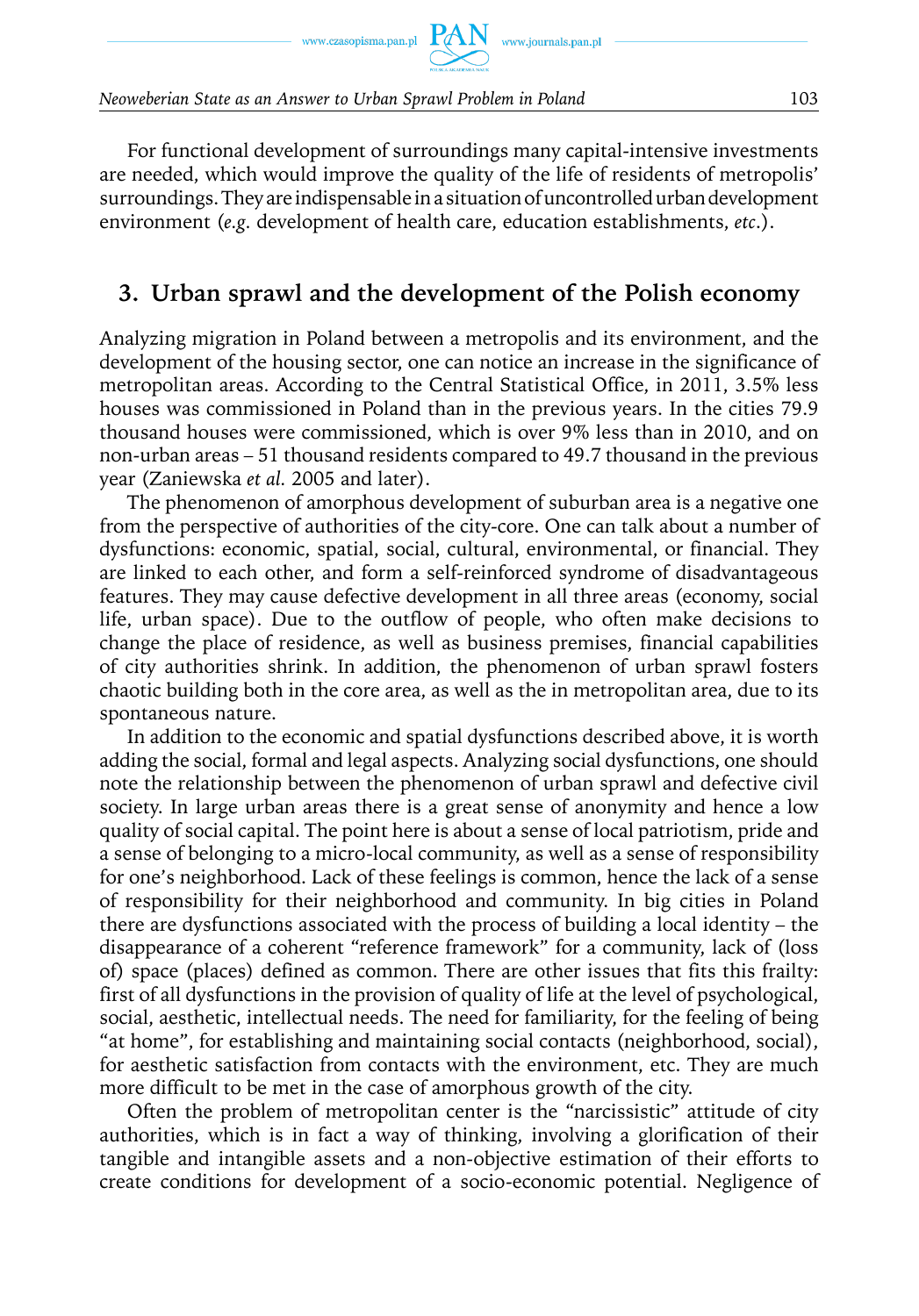For functional development of surroundings many capital-intensive investments are needed, which would improve the quality of the life of residents of metropolis' surroundings. They are indispensable in a situation of uncontrolled urban development environment (*e.g.* development of health care, education establishments, *etc*.).

## **3. Urban sprawl and the development of the Polish economy**

Analyzing migration in Poland between a metropolis and its environment, and the development of the housing sector, one can notice an increase in the significance of metropolitan areas. According to the Central Statistical Office, in 2011, 3.5% less houses was commissioned in Poland than in the previous years. In the cities 79.9 thousand houses were commissioned, which is over 9% less than in 2010, and on non-urban areas – 51 thousand residents compared to 49.7 thousand in the previous year (Zaniewska *et al.* 2005 and later).

The phenomenon of amorphous development of suburban area is a negative one from the perspective of authorities of the city-core. One can talk about a number of dysfunctions: economic, spatial, social, cultural, environmental, or financial. They are linked to each other, and form a self-reinforced syndrome of disadvantageous features. They may cause defective development in all three areas (economy, social life, urban space). Due to the outflow of people, who often make decisions to change the place of residence, as well as business premises, financial capabilities of city authorities shrink. In addition, the phenomenon of urban sprawl fosters chaotic building both in the core area, as well as the in metropolitan area, due to its spontaneous nature.

In addition to the economic and spatial dysfunctions described above, it is worth adding the social, formal and legal aspects. Analyzing social dysfunctions, one should note the relationship between the phenomenon of urban sprawl and defective civil society. In large urban areas there is a great sense of anonymity and hence a low quality of social capital. The point here is about a sense of local patriotism, pride and a sense of belonging to a micro-local community, as well as a sense of responsibility for one's neighborhood. Lack of these feelings is common, hence the lack of a sense of responsibility for their neighborhood and community. In big cities in Poland there are dysfunctions associated with the process of building a local identity – the disappearance of a coherent "reference framework" for a community, lack of (loss of) space (places) defined as common. There are other issues that fits this frailty: first of all dysfunctions in the provision of quality of life at the level of psychological, social, aesthetic, intellectual needs. The need for familiarity, for the feeling of being "at home", for establishing and maintaining social contacts (neighborhood, social), for aesthetic satisfaction from contacts with the environment, etc. They are much more difficult to be met in the case of amorphous growth of the city.

Often the problem of metropolitan center is the "narcissistic" attitude of city authorities, which is in fact a way of thinking, involving a glorification of their tangible and intangible assets and a non-objective estimation of their efforts to create conditions for development of a socio-economic potential. Negligence of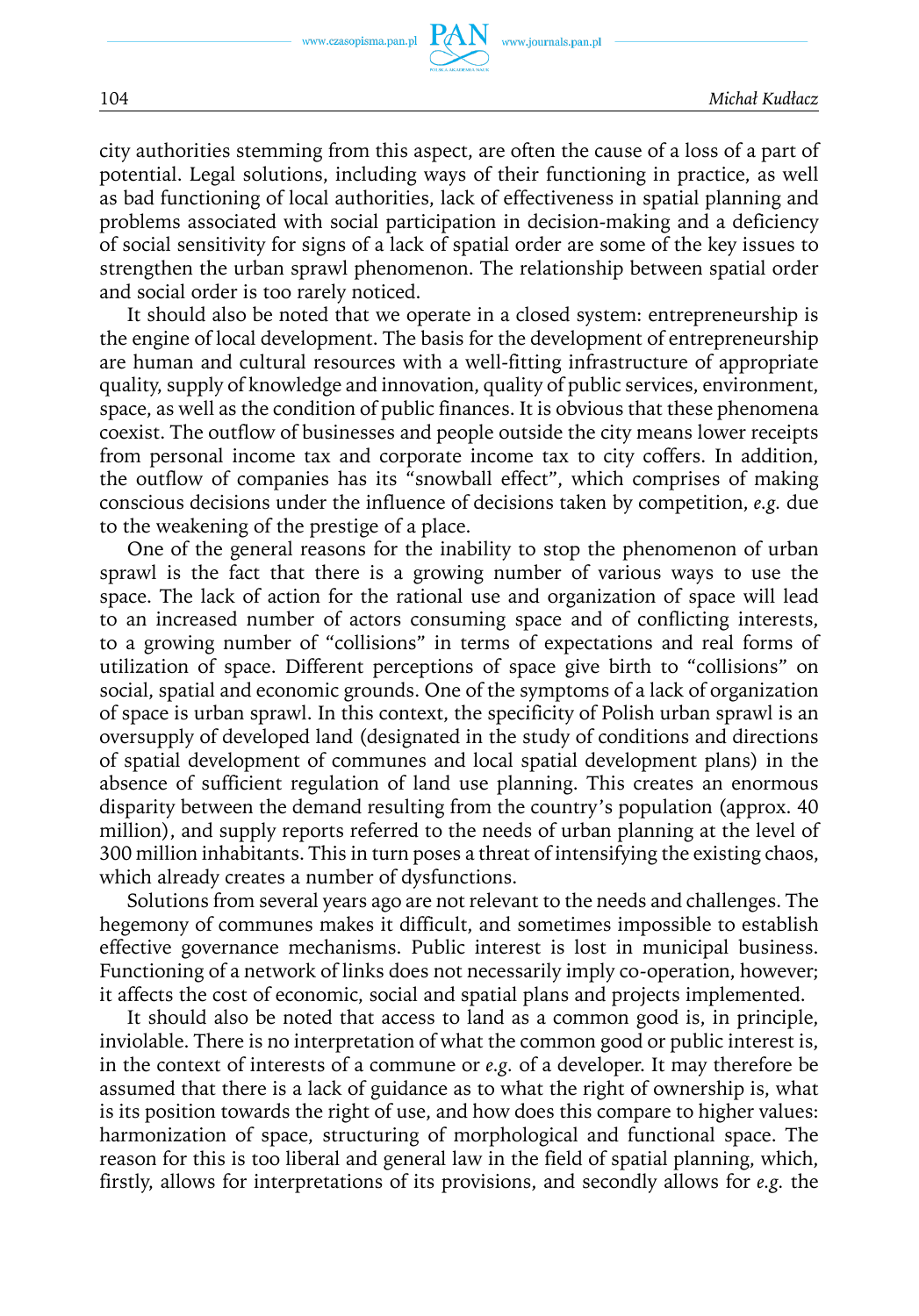city authorities stemming from this aspect, are often the cause of a loss of a part of potential. Legal solutions, including ways of their functioning in practice, as well as bad functioning of local authorities, lack of effectiveness in spatial planning and problems associated with social participation in decision-making and a deficiency of social sensitivity for signs of a lack of spatial order are some of the key issues to strengthen the urban sprawl phenomenon. The relationship between spatial order and social order is too rarely noticed.

It should also be noted that we operate in a closed system: entrepreneurship is the engine of local development. The basis for the development of entrepreneurship are human and cultural resources with a well-fitting infrastructure of appropriate quality, supply of knowledge and innovation, quality of public services, environment, space, as well as the condition of public finances. It is obvious that these phenomena coexist. The outflow of businesses and people outside the city means lower receipts from personal income tax and corporate income tax to city coffers. In addition, the outflow of companies has its "snowball effect", which comprises of making conscious decisions under the influence of decisions taken by competition, *e.g.* due to the weakening of the prestige of a place.

One of the general reasons for the inability to stop the phenomenon of urban sprawl is the fact that there is a growing number of various ways to use the space. The lack of action for the rational use and organization of space will lead to an increased number of actors consuming space and of conflicting interests, to a growing number of "collisions" in terms of expectations and real forms of utilization of space. Different perceptions of space give birth to "collisions" on social, spatial and economic grounds. One of the symptoms of a lack of organization of space is urban sprawl. In this context, the specificity of Polish urban sprawl is an oversupply of developed land (designated in the study of conditions and directions of spatial development of communes and local spatial development plans) in the absence of sufficient regulation of land use planning. This creates an enormous disparity between the demand resulting from the country's population (approx. 40 million), and supply reports referred to the needs of urban planning at the level of 300 million inhabitants. This in turn poses a threat of intensifying the existing chaos, which already creates a number of dysfunctions.

Solutions from several years ago are not relevant to the needs and challenges. The hegemony of communes makes it difficult, and sometimes impossible to establish effective governance mechanisms. Public interest is lost in municipal business. Functioning of a network of links does not necessarily imply co-operation, however; it affects the cost of economic, social and spatial plans and projects implemented.

It should also be noted that access to land as a common good is, in principle, inviolable. There is no interpretation of what the common good or public interest is, in the context of interests of a commune or *e.g.* of a developer. It may therefore be assumed that there is a lack of guidance as to what the right of ownership is, what is its position towards the right of use, and how does this compare to higher values: harmonization of space, structuring of morphological and functional space. The reason for this is too liberal and general law in the field of spatial planning, which, firstly, allows for interpretations of its provisions, and secondly allows for *e.g.* the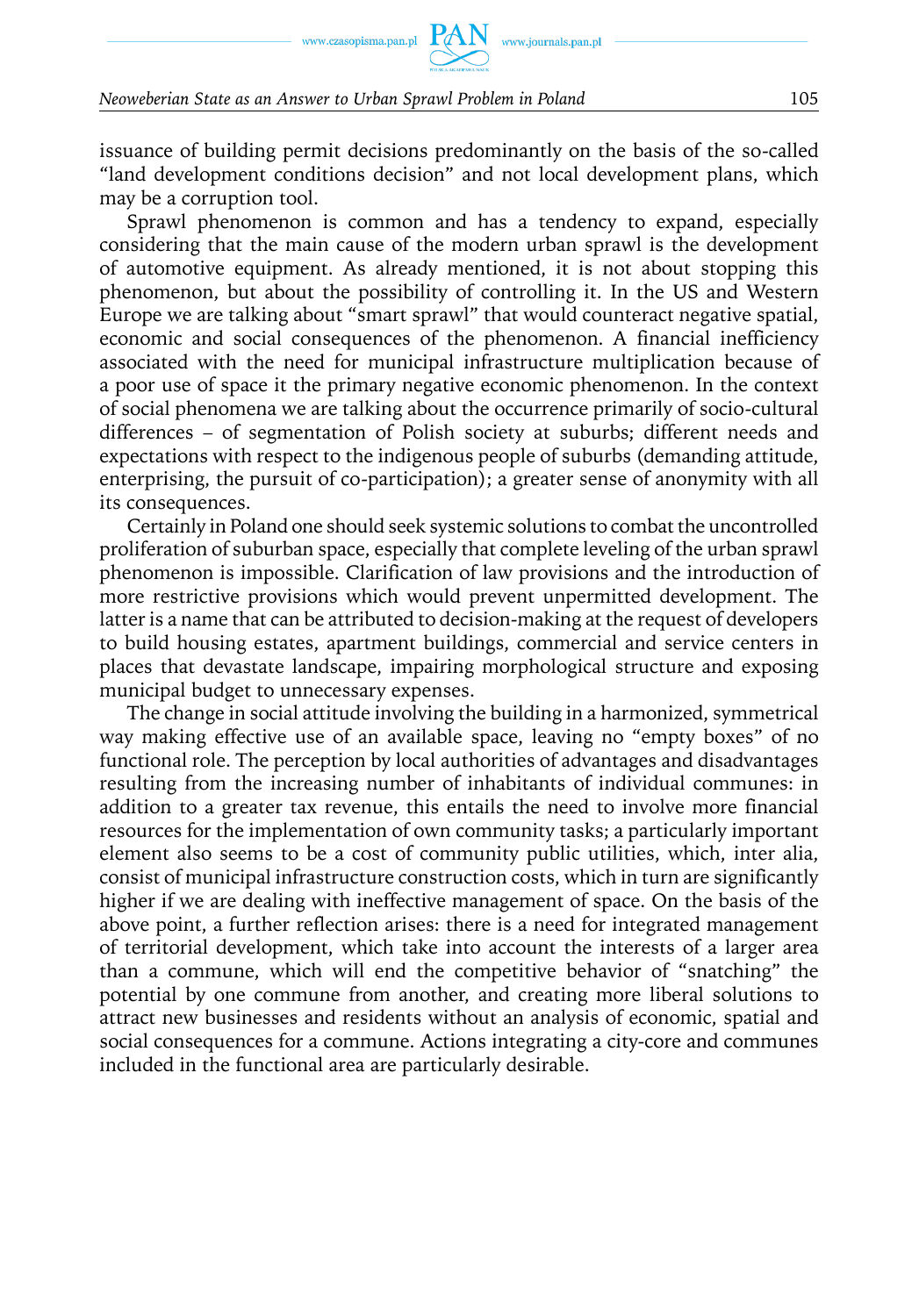issuance of building permit decisions predominantly on the basis of the so-called "land development conditions decision" and not local development plans, which may be a corruption tool.

Sprawl phenomenon is common and has a tendency to expand, especially considering that the main cause of the modern urban sprawl is the development of automotive equipment. As already mentioned, it is not about stopping this phenomenon, but about the possibility of controlling it. In the US and Western Europe we are talking about "smart sprawl" that would counteract negative spatial, economic and social consequences of the phenomenon. A financial inefficiency associated with the need for municipal infrastructure multiplication because of a poor use of space it the primary negative economic phenomenon. In the context of social phenomena we are talking about the occurrence primarily of socio-cultural differences – of segmentation of Polish society at suburbs; different needs and expectations with respect to the indigenous people of suburbs (demanding attitude, enterprising, the pursuit of co-participation); a greater sense of anonymity with all its consequences.

Certainly in Poland one should seek systemic solutions to combat the uncontrolled proliferation of suburban space, especially that complete leveling of the urban sprawl phenomenon is impossible. Clarification of law provisions and the introduction of more restrictive provisions which would prevent unpermitted development. The latter is a name that can be attributed to decision-making at the request of developers to build housing estates, apartment buildings, commercial and service centers in places that devastate landscape, impairing morphological structure and exposing municipal budget to unnecessary expenses.

The change in social attitude involving the building in a harmonized, symmetrical way making effective use of an available space, leaving no "empty boxes" of no functional role. The perception by local authorities of advantages and disadvantages resulting from the increasing number of inhabitants of individual communes: in addition to a greater tax revenue, this entails the need to involve more financial resources for the implementation of own community tasks; a particularly important element also seems to be a cost of community public utilities, which, inter alia, consist of municipal infrastructure construction costs, which in turn are significantly higher if we are dealing with ineffective management of space. On the basis of the above point, a further reflection arises: there is a need for integrated management of territorial development, which take into account the interests of a larger area than a commune, which will end the competitive behavior of "snatching" the potential by one commune from another, and creating more liberal solutions to attract new businesses and residents without an analysis of economic, spatial and social consequences for a commune. Actions integrating a city-core and communes included in the functional area are particularly desirable.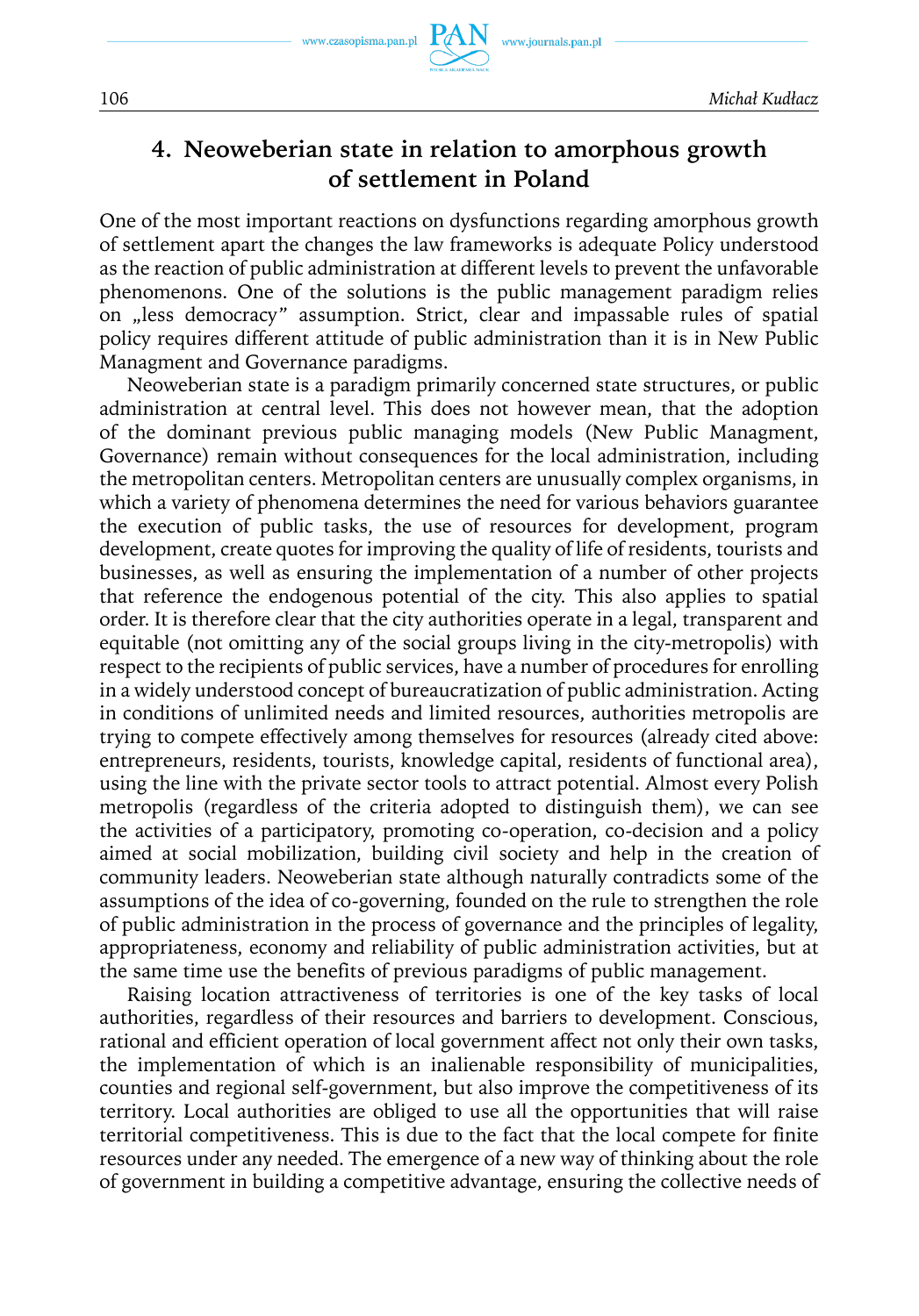www.czasopisma.pan.pl

www.journals.pan.pl

### **4. Neoweberian state in relation to amorphous growth of settlement in Poland**

One of the most important reactions on dysfunctions regarding amorphous growth of settlement apart the changes the law frameworks is adequate Policy understood as the reaction of public administration at different levels to prevent the unfavorable phenomenons. One of the solutions is the public management paradigm relies on "less democracy" assumption. Strict, clear and impassable rules of spatial policy requires different attitude of public administration than it is in New Public Managment and Governance paradigms.

Neoweberian state is a paradigm primarily concerned state structures, or public administration at central level. This does not however mean, that the adoption of the dominant previous public managing models (New Public Managment, Governance) remain without consequences for the local administration, including the metropolitan centers. Metropolitan centers are unusually complex organisms, in which a variety of phenomena determines the need for various behaviors guarantee the execution of public tasks, the use of resources for development, program development, create quotes for improving the quality of life of residents, tourists and businesses, as well as ensuring the implementation of a number of other projects that reference the endogenous potential of the city. This also applies to spatial order. It is therefore clear that the city authorities operate in a legal, transparent and equitable (not omitting any of the social groups living in the city-metropolis) with respect to the recipients of public services, have a number of procedures for enrolling in a widely understood concept of bureaucratization of public administration. Acting in conditions of unlimited needs and limited resources, authorities metropolis are trying to compete effectively among themselves for resources (already cited above: entrepreneurs, residents, tourists, knowledge capital, residents of functional area), using the line with the private sector tools to attract potential. Almost every Polish metropolis (regardless of the criteria adopted to distinguish them), we can see the activities of a participatory, promoting co-operation, co-decision and a policy aimed at social mobilization, building civil society and help in the creation of community leaders. Neoweberian state although naturally contradicts some of the assumptions of the idea of co-governing, founded on the rule to strengthen the role of public administration in the process of governance and the principles of legality, appropriateness, economy and reliability of public administration activities, but at the same time use the benefits of previous paradigms of public management.

Raising location attractiveness of territories is one of the key tasks of local authorities, regardless of their resources and barriers to development. Conscious, rational and efficient operation of local government affect not only their own tasks, the implementation of which is an inalienable responsibility of municipalities, counties and regional self-government, but also improve the competitiveness of its territory. Local authorities are obliged to use all the opportunities that will raise territorial competitiveness. This is due to the fact that the local compete for finite resources under any needed. The emergence of a new way of thinking about the role of government in building a competitive advantage, ensuring the collective needs of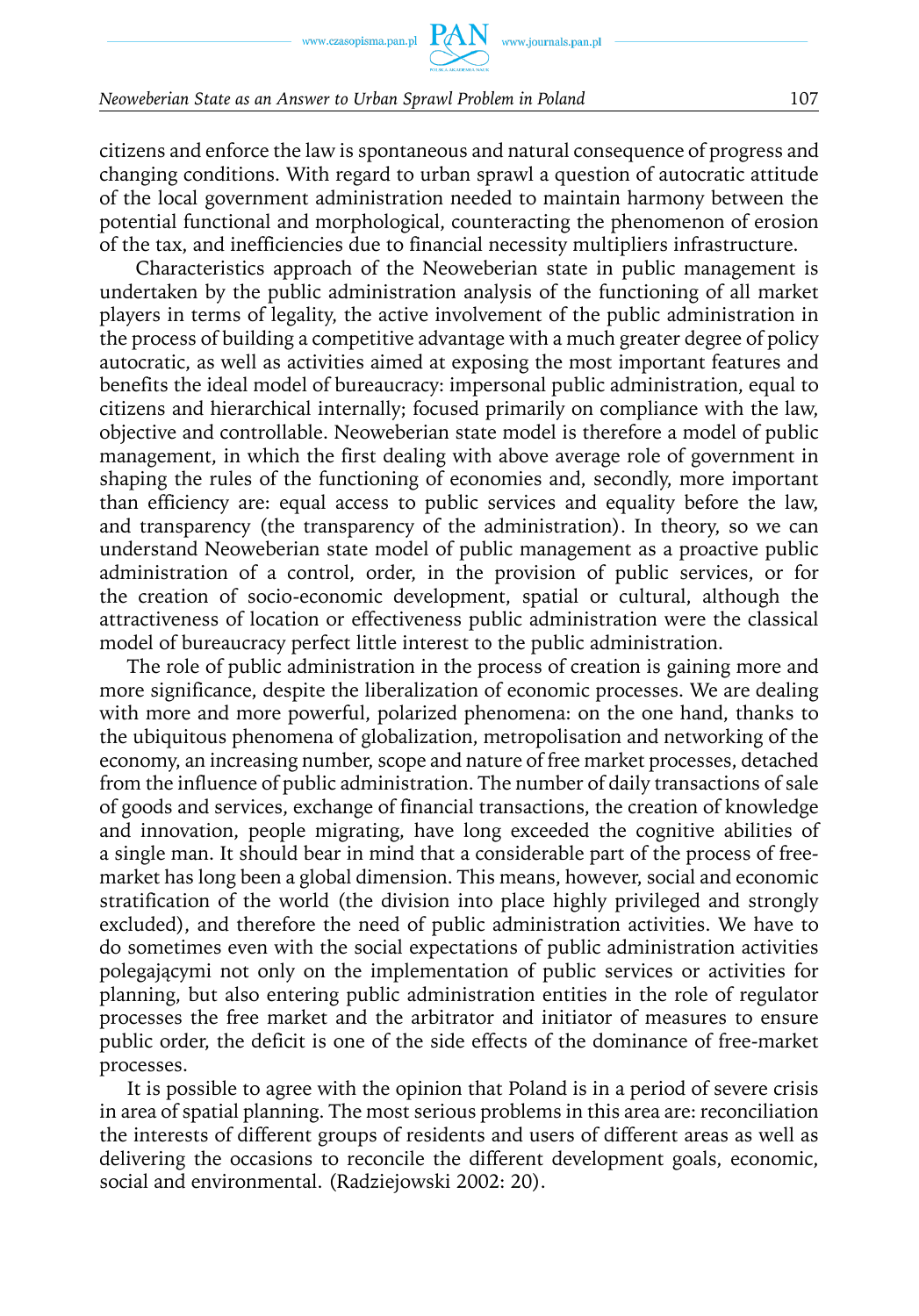citizens and enforce the law is spontaneous and natural consequence of progress and changing conditions. With regard to urban sprawl a question of autocratic attitude of the local government administration needed to maintain harmony between the potential functional and morphological, counteracting the phenomenon of erosion of the tax, and inefficiencies due to financial necessity multipliers infrastructure.

Characteristics approach of the Neoweberian state in public management is undertaken by the public administration analysis of the functioning of all market players in terms of legality, the active involvement of the public administration in the process of building a competitive advantage with a much greater degree of policy autocratic, as well as activities aimed at exposing the most important features and benefits the ideal model of bureaucracy: impersonal public administration, equal to citizens and hierarchical internally; focused primarily on compliance with the law, objective and controllable. Neoweberian state model is therefore a model of public management, in which the first dealing with above average role of government in shaping the rules of the functioning of economies and, secondly, more important than efficiency are: equal access to public services and equality before the law, and transparency (the transparency of the administration). In theory, so we can understand Neoweberian state model of public management as a proactive public administration of a control, order, in the provision of public services, or for the creation of socio-economic development, spatial or cultural, although the attractiveness of location or effectiveness public administration were the classical model of bureaucracy perfect little interest to the public administration.

The role of public administration in the process of creation is gaining more and more significance, despite the liberalization of economic processes. We are dealing with more and more powerful, polarized phenomena: on the one hand, thanks to the ubiquitous phenomena of globalization, metropolisation and networking of the economy, an increasing number, scope and nature of free market processes, detached from the influence of public administration. The number of daily transactions of sale of goods and services, exchange of financial transactions, the creation of knowledge and innovation, people migrating, have long exceeded the cognitive abilities of a single man. It should bear in mind that a considerable part of the process of freemarket has long been a global dimension. This means, however, social and economic stratification of the world (the division into place highly privileged and strongly excluded), and therefore the need of public administration activities. We have to do sometimes even with the social expectations of public administration activities polegającymi not only on the implementation of public services or activities for planning, but also entering public administration entities in the role of regulator processes the free market and the arbitrator and initiator of measures to ensure public order, the deficit is one of the side effects of the dominance of free-market processes.

It is possible to agree with the opinion that Poland is in a period of severe crisis in area of spatial planning. The most serious problems in this area are: reconciliation the interests of different groups of residents and users of different areas as well as delivering the occasions to reconcile the different development goals, economic, social and environmental. (Radziejowski 2002: 20).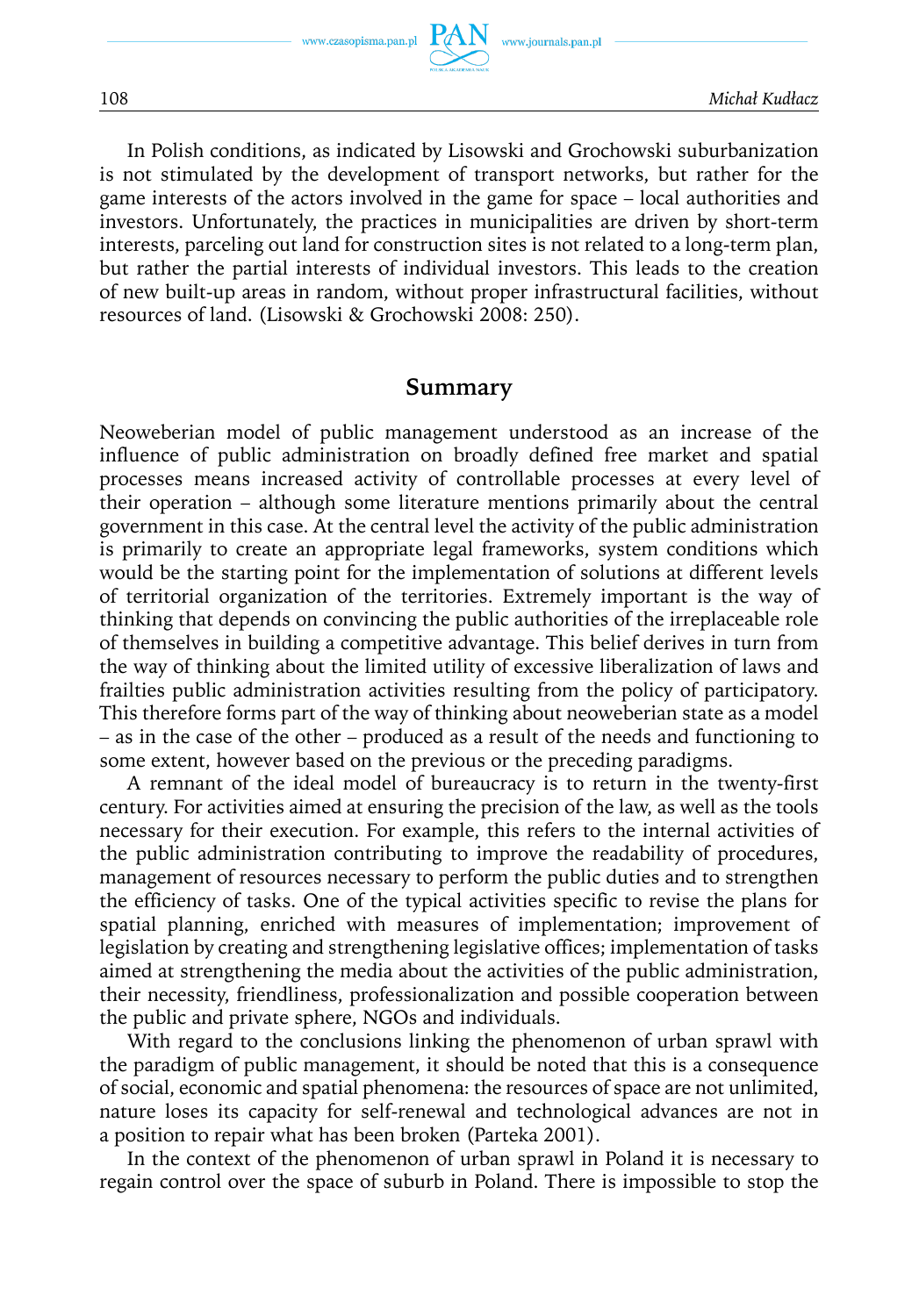In Polish conditions, as indicated by Lisowski and Grochowski suburbanization is not stimulated by the development of transport networks, but rather for the game interests of the actors involved in the game for space – local authorities and investors. Unfortunately, the practices in municipalities are driven by short-term interests, parceling out land for construction sites is not related to a long-term plan, but rather the partial interests of individual investors. This leads to the creation of new built-up areas in random, without proper infrastructural facilities, without resources of land. (Lisowski & Grochowski 2008: 250).

### **Summary**

Neoweberian model of public management understood as an increase of the influence of public administration on broadly defined free market and spatial processes means increased activity of controllable processes at every level of their operation – although some literature mentions primarily about the central government in this case. At the central level the activity of the public administration is primarily to create an appropriate legal frameworks, system conditions which would be the starting point for the implementation of solutions at different levels of territorial organization of the territories. Extremely important is the way of thinking that depends on convincing the public authorities of the irreplaceable role of themselves in building a competitive advantage. This belief derives in turn from the way of thinking about the limited utility of excessive liberalization of laws and frailties public administration activities resulting from the policy of participatory. This therefore forms part of the way of thinking about neoweberian state as a model – as in the case of the other – produced as a result of the needs and functioning to some extent, however based on the previous or the preceding paradigms.

A remnant of the ideal model of bureaucracy is to return in the twenty-first century. For activities aimed at ensuring the precision of the law, as well as the tools necessary for their execution. For example, this refers to the internal activities of the public administration contributing to improve the readability of procedures, management of resources necessary to perform the public duties and to strengthen the efficiency of tasks. One of the typical activities specific to revise the plans for spatial planning, enriched with measures of implementation; improvement of legislation by creating and strengthening legislative offices; implementation of tasks aimed at strengthening the media about the activities of the public administration, their necessity, friendliness, professionalization and possible cooperation between the public and private sphere, NGOs and individuals.

With regard to the conclusions linking the phenomenon of urban sprawl with the paradigm of public management, it should be noted that this is a consequence of social, economic and spatial phenomena: the resources of space are not unlimited, nature loses its capacity for self-renewal and technological advances are not in a position to repair what has been broken (Parteka 2001).

In the context of the phenomenon of urban sprawl in Poland it is necessary to regain control over the space of suburb in Poland. There is impossible to stop the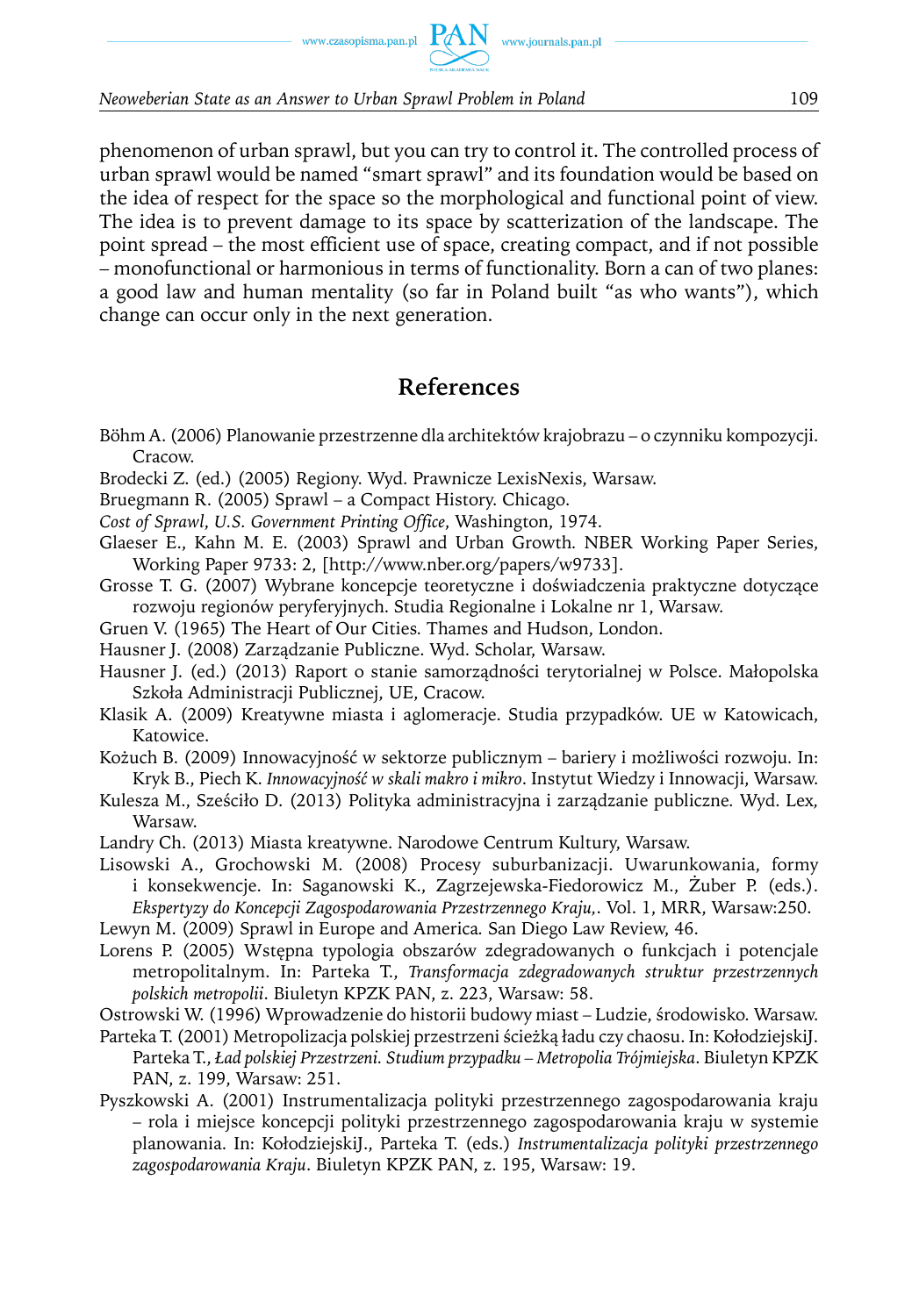phenomenon of urban sprawl, but you can try to control it. The controlled process of urban sprawl would be named "smart sprawl" and its foundation would be based on the idea of respect for the space so the morphological and functional point of view. The idea is to prevent damage to its space by scatterization of the landscape. The point spread – the most efficient use of space, creating compact, and if not possible – monofunctional or harmonious in terms of functionality. Born a can of two planes: a good law and human mentality (so far in Poland built "as who wants"), which change can occur only in the next generation.

# **References**

- Böhm A. (2006) Planowanie przestrzenne dla architektów krajobrazu o czynniku kompozycji. Cracow.
- Brodecki Z. (ed.) (2005) Regiony. Wyd. Prawnicze LexisNexis, Warsaw.
- Bruegmann R. (2005) Sprawl a Compact History. Chicago.
- *Cost of Sprawl*, *U.S. Government Printing Office*, Washington, 1974.
- Glaeser E., Kahn M. E. (2003) Sprawl and Urban Growth*.* NBER Working Paper Series, Working Paper 9733: 2, [http://www.nber.org/papers/w9733].
- Grosse T. G. (2007) Wybrane koncepcje teoretyczne i doświadczenia praktyczne dotyczące rozwoju regionów peryferyjnych. Studia Regionalne i Lokalne nr 1, Warsaw.
- Gruen V. (1965) The Heart of Our Cities*.* Thames and Hudson, London.
- Hausner J. (2008) Zarządzanie Publiczne. Wyd. Scholar, Warsaw.
- Hausner J. (ed.) (2013) Raport o stanie samorządności terytorialnej w Polsce. Małopolska Szkoła Administracji Publicznej, UE, Cracow.
- Klasik A. (2009) Kreatywne miasta i aglomeracje. Studia przypadków. UE w Katowicach, Katowice.
- Kożuch B. (2009) Innowacyjność w sektorze publicznym bariery i możliwości rozwoju*.* In: Kryk B., Piech K. *Innowacyjność w skali makro i mikro*. Instytut Wiedzy i Innowacji, Warsaw.
- Kulesza M., Sześciło D. (2013) Polityka administracyjna i zarządzanie publiczne*.* Wyd. Lex*,* Warsaw.
- Landry Ch. (2013) Miasta kreatywne. Narodowe Centrum Kultury, Warsaw.
- Lisowski A., Grochowski M. (2008) Procesy suburbanizacji. Uwarunkowania, formy i konsekwencje. In: Saganowski K., Zagrzejewska-Fiedorowicz M., Żuber P. (eds.). *Ekspertyzy do Koncepcji Zagospodarowania Przestrzennego Kraju,*. Vol. 1, MRR, Warsaw:250.
- Lewyn M. (2009) Sprawl in Europe and America*.* San Diego Law Review, 46.
- Lorens P. (2005) Wstępna typologia obszarów zdegradowanych o funkcjach i potencjale metropolitalnym. In: Parteka T., *Transformacja zdegradowanych struktur przestrzennych polskich metropolii*. Biuletyn KPZK PAN, z. 223, Warsaw: 58.
- Ostrowski W. (1996) Wprowadzenie do historii budowy miast Ludzie, środowisko*.* Warsaw.
- Parteka T. (2001) Metropolizacja polskiej przestrzeni ścieżką ładu czy chaosu. In: KołodziejskiJ. Parteka T., *Ład polskiej Przestrzeni. Studium przypadku – Metropolia Trójmiejska*. Biuletyn KPZK PAN, z. 199, Warsaw: 251.
- Pyszkowski A. (2001) Instrumentalizacja polityki przestrzennego zagospodarowania kraju – rola i miejsce koncepcji polityki przestrzennego zagospodarowania kraju w systemie planowania. In: KołodziejskiJ., Parteka T. (eds.) *Instrumentalizacja polityki przestrzennego zagospodarowania Kraju*. Biuletyn KPZK PAN, z. 195, Warsaw: 19.